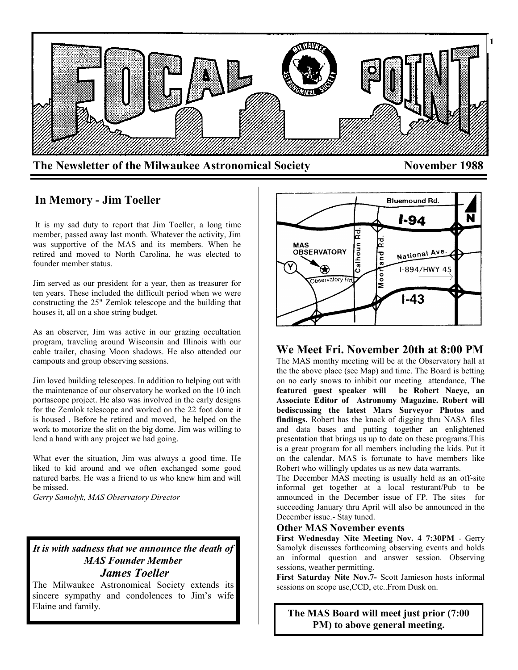

# **In Memory - Jim Toeller**

It is my sad duty to report that Jim Toeller, a long time member, passed away last month. Whatever the activity, Jim was supportive of the MAS and its members. When he retired and moved to North Carolina, he was elected to founder member status.

Jim served as our president for a year, then as treasurer for ten years. These included the difficult period when we were constructing the 25" Zemlok telescope and the building that houses it, all on a shoe string budget.

As an observer, Jim was active in our grazing occultation program, traveling around Wisconsin and Illinois with our cable trailer, chasing Moon shadows. He also attended our campouts and group observing sessions.

Jim loved building telescopes. In addition to helping out with the maintenance of our observatory he worked on the 10 inch portascope project. He also was involved in the early designs for the Zemlok telescope and worked on the 22 foot dome it is housed . Before he retired and moved, he helped on the work to motorize the slit on the big dome. Jim was willing to lend a hand with any project we had going.

What ever the situation, Jim was always a good time. He liked to kid around and we often exchanged some good natured barbs. He was a friend to us who knew him and will be missed.

*Gerry Samolyk, MAS Observatory Director*

## *It is with sadness that we announce the death of MAS Founder Member James Toeller*

The Milwaukee Astronomical Society extends its sincere sympathy and condolences to Jim's wife Elaine and family.



# **We Meet Fri. November 20th at 8:00 PM**

The MAS monthy meeting will be at the Observatory hall at the the above place (see Map) and time. The Board is betting on no early snows to inhibit our meeting attendance, **The featured guest speaker will be Robert Naeye, an Associate Editor of Astronomy Magazine. Robert will bediscussing the latest Mars Surveyor Photos and findings.** Robert has the knack of digging thru NASA files and data bases and putting together an enlightened presentation that brings us up to date on these programs.This is a great program for all members including the kids. Put it on the calendar. MAS is fortunate to have members like Robert who willingly updates us as new data warrants.

The December MAS meeting is usually held as an off-site informal get together at a local resturant/Pub to be announced in the December issue of FP. The sites for succeeding January thru April will also be announced in the December issue.- Stay tuned.

#### **Other MAS November events**

**First Wednesday Nite Meeting Nov. 4 7:30PM** - Gerry Samolyk discusses forthcoming observing events and holds an informal question and answer session. Observing sessions, weather permitting.

**First Saturday Nite Nov.7-** Scott Jamieson hosts informal sessions on scope use,CCD, etc..From Dusk on.

**The MAS Board will meet just prior (7:00 PM) to above general meeting.**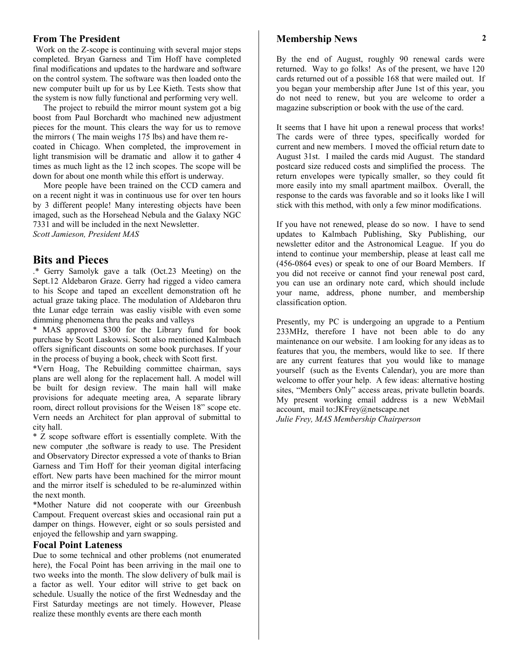#### **From The President**

Work on the Z-scope is continuing with several major steps completed. Bryan Garness and Tim Hoff have completed final modifications and updates to the hardware and software on the control system. The software was then loaded onto the new computer built up for us by Lee Kieth. Tests show that the system is now fully functional and performing very well.

 The project to rebuild the mirror mount system got a big boost from Paul Borchardt who machined new adjustment pieces for the mount. This clears the way for us to remove the mirrors ( The main weighs 175 lbs) and have them recoated in Chicago. When completed, the improvement in light transmision will be dramatic and allow it to gather 4 times as much light as the 12 inch scopes. The scope will be down for about one month while this effort is underway.

 More people have been trained on the CCD camera and on a recent night it was in continuous use for over ten hours by 3 different people! Many interesting objects have been imaged, such as the Horsehead Nebula and the Galaxy NGC 7331 and will be included in the next Newsletter. *Scott Jamieson, President MAS*

## **Bits and Pieces**

.\* Gerry Samolyk gave a talk (Oct.23 Meeting) on the Sept.12 Aldebaron Graze. Gerry had rigged a video camera to his Scope and taped an excellent demonstration oft he actual graze taking place. The modulation of Aldebaron thru thte Lunar edge terrain was easliy visible with even some dimming phenomena thru the peaks and valleys

\* MAS approved \$300 for the Library fund for book purchase by Scott Laskowsi. Scott also mentioned Kalmbach offers significant discounts on some book purchases. If your in the process of buying a book, check with Scott first.

\*Vern Hoag, The Rebuilding committee chairman, says plans are well along for the replacement hall. A model will be built for design review. The main hall will make provisions for adequate meeting area, A separate library room, direct rollout provisions for the Weisen 18" scope etc. Vern needs an Architect for plan approval of submittal to city hall.

\* Z scope software effort is essentially complete. With the new computer ,the software is ready to use. The President and Observatory Director expressed a vote of thanks to Brian Garness and Tim Hoff for their yeoman digital interfacing effort. New parts have been machined for the mirror mount and the mirror itself is scheduled to be re-aluminzed within the next month.

\*Mother Nature did not cooperate with our Greenbush Campout. Frequent overcast skies and occasional rain put a damper on things. However, eight or so souls persisted and enjoyed the fellowship and yarn swapping.

## **Focal Point Lateness**

Due to some technical and other problems (not enumerated here), the Focal Point has been arriving in the mail one to two weeks into the month. The slow delivery of bulk mail is a factor as well. Your editor will strive to get back on schedule. Usually the notice of the first Wednesday and the First Saturday meetings are not timely. However, Please realize these monthly events are there each month

## **Membership News**

By the end of August, roughly 90 renewal cards were returned. Way to go folks! As of the present, we have 120 cards returned out of a possible 168 that were mailed out. If you began your membership after June 1st of this year, you do not need to renew, but you are welcome to order a magazine subscription or book with the use of the card.

It seems that I have hit upon a renewal process that works! The cards were of three types, specifically worded for current and new members. I moved the official return date to August 31st. I mailed the cards mid August. The standard postcard size reduced costs and simplified the process. The return envelopes were typically smaller, so they could fit more easily into my small apartment mailbox. Overall, the response to the cards was favorable and so it looks like I will stick with this method, with only a few minor modifications.

If you have not renewed, please do so now. I have to send updates to Kalmbach Publishing, Sky Publishing, our newsletter editor and the Astronomical League. If you do intend to continue your membership, please at least call me (456-0864 eves) or speak to one of our Board Members. If you did not receive or cannot find your renewal post card, you can use an ordinary note card, which should include your name, address, phone number, and membership classification option.

Presently, my PC is undergoing an upgrade to a Pentium 233MHz, therefore I have not been able to do any maintenance on our website. I am looking for any ideas as to features that you, the members, would like to see. If there are any current features that you would like to manage yourself (such as the Events Calendar), you are more than welcome to offer your help. A few ideas: alternative hosting sites, "Members Only" access areas, private bulletin boards. My present working email address is a new WebMail account, mail to:JKFrey@netscape.net *Julie Frey, MAS Membership Chairperson*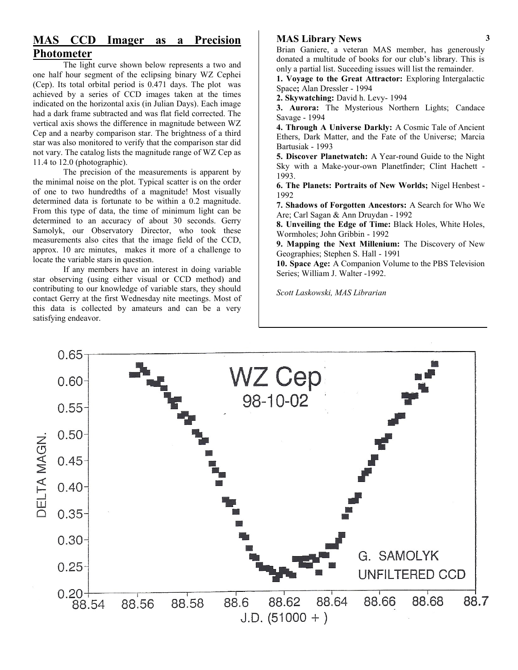# **MAS CCD Imager as a Precision Photometer**

The light curve shown below represents a two and one half hour segment of the eclipsing binary WZ Cephei (Cep). Its total orbital period is 0.471 days. The plot was achieved by a series of CCD images taken at the times indicated on the horizontal axis (in Julian Days). Each image had a dark frame subtracted and was flat field corrected. The vertical axis shows the difference in magnitude between WZ Cep and a nearby comparison star. The brightness of a third star was also monitored to verify that the comparison star did not vary. The catalog lists the magnitude range of WZ Cep as 11.4 to 12.0 (photographic).

The precision of the measurements is apparent by the minimal noise on the plot. Typical scatter is on the order of one to two hundredths of a magnitude! Most visually determined data is fortunate to be within a 0.2 magnitude. From this type of data, the time of minimum light can be determined to an accuracy of about 30 seconds. Gerry Samolyk, our Observatory Director, who took these measurements also cites that the image field of the CCD, approx. 10 arc minutes, makes it more of a challenge to locate the variable stars in question.

If any members have an interest in doing variable star observing (using either visual or CCD method) and contributing to our knowledge of variable stars, they should contact Gerry at the first Wednesday nite meetings. Most of this data is collected by amateurs and can be a very satisfying endeavor.

## **MAS Library News**

Brian Ganiere, a veteran MAS member, has generously donated a multitude of books for our club's library. This is only a partial list. Suceeding issues will list the remainder. **1. Voyage to the Great Attractor:** Exploring Intergalactic

Space**;** Alan Dressler - 1994 **2. Skywatching:** David h. Levy- 1994

**3. Aurora:** The Mysterious Northern Lights; Candace Savage - 1994

**4. Through A Universe Darkly:** A Cosmic Tale of Ancient Ethers, Dark Matter, and the Fate of the Universe; Marcia Bartusiak - 1993

**5. Discover Planetwatch:** A Year-round Guide to the Night Sky with a Make-your-own Planetfinder; Clint Hachett - 1993.

**6. The Planets: Portraits of New Worlds;** Nigel Henbest - 1992

**7. Shadows of Forgotten Ancestors:** A Search for Who We Are; Carl Sagan & Ann Druydan - 1992

**8. Unveiling the Edge of Time:** Black Holes, White Holes, Wormholes; John Gribbin - 1992

**9. Mapping the Next Millenium:** The Discovery of New Geographies; Stephen S. Hall - 1991

**10. Space Age:** A Companion Volume to the PBS Television Series; William J. Walter -1992.

*Scott Laskowski, MAS Librarian*

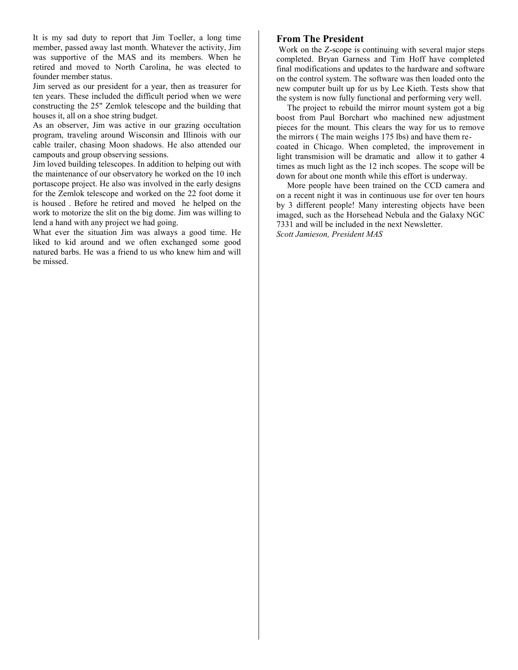It is my sad duty to report that Jim Toeller, a long time member, passed away last month. Whatever the activity, Jim was supportive of the MAS and its members. When he retired and moved to North Carolina, he was elected to founder member status.

Jim served as our president for a year, then as treasurer for ten years. These included the difficult period when we were constructing the 25" Zemlok telescope and the building that houses it, all on a shoe string budget.

As an observer, Jim was active in our grazing occultation program, traveling around Wisconsin and Illinois with our cable trailer, chasing Moon shadows. He also attended our campouts and group observing sessions.

Jim loved building telescopes. In addition to helping out with the maintenance of our observatory he worked on the 10 inch portascope project. He also was involved in the early designs for the Zemlok telescope and worked on the 22 foot dome it is housed . Before he retired and moved he helped on the work to motorize the slit on the big dome. Jim was willing to lend a hand with any project we had going.

What ever the situation Jim was always a good time. He liked to kid around and we often exchanged some good natured barbs. He was a friend to us who knew him and will be missed.

#### **From The President**

Work on the Z-scope is continuing with several major steps completed. Bryan Garness and Tim Hoff have completed final modifications and updates to the hardware and software on the control system. The software was then loaded onto the new computer built up for us by Lee Kieth. Tests show that the system is now fully functional and performing very well.

 The project to rebuild the mirror mount system got a big boost from Paul Borchart who machined new adjustment pieces for the mount. This clears the way for us to remove the mirrors ( The main weighs 175 lbs) and have them recoated in Chicago. When completed, the improvement in light transmision will be dramatic and allow it to gather 4 times as much light as the 12 inch scopes. The scope will be down for about one month while this effort is underway.

 More people have been trained on the CCD camera and on a recent night it was in continuous use for over ten hours by 3 different people! Many interesting objects have been imaged, such as the Horsehead Nebula and the Galaxy NGC 7331 and will be included in the next Newsletter. *Scott Jamieson, President MAS*